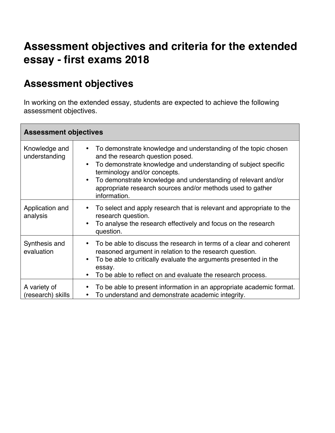# **Assessment objectives and criteria for the extended essay - first exams 2018**

# **Assessment objectives**

In working on the extended essay, students are expected to achieve the following assessment objectives.

| <b>Assessment objectives</b>      |                                                                                                                                                                                                                                                                                                                                                                                            |  |
|-----------------------------------|--------------------------------------------------------------------------------------------------------------------------------------------------------------------------------------------------------------------------------------------------------------------------------------------------------------------------------------------------------------------------------------------|--|
| Knowledge and<br>understanding    | To demonstrate knowledge and understanding of the topic chosen<br>$\bullet$<br>and the research question posed.<br>To demonstrate knowledge and understanding of subject specific<br>$\bullet$<br>terminology and/or concepts.<br>To demonstrate knowledge and understanding of relevant and/or<br>$\bullet$<br>appropriate research sources and/or methods used to gather<br>information. |  |
| Application and<br>analysis       | To select and apply research that is relevant and appropriate to the<br>$\bullet$<br>research question.<br>To analyse the research effectively and focus on the research<br>٠<br>question.                                                                                                                                                                                                 |  |
| Synthesis and<br>evaluation       | To be able to discuss the research in terms of a clear and coherent<br>$\bullet$<br>reasoned argument in relation to the research question.<br>To be able to critically evaluate the arguments presented in the<br>$\bullet$<br>essay.<br>To be able to reflect on and evaluate the research process.                                                                                      |  |
| A variety of<br>(research) skills | To be able to present information in an appropriate academic format.<br>To understand and demonstrate academic integrity.<br>$\bullet$                                                                                                                                                                                                                                                     |  |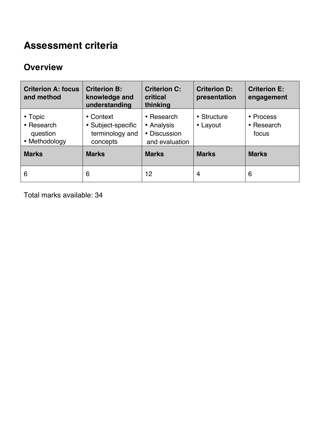# **Assessment criteria**

#### **Overview**

| <b>Criterion A: focus</b><br>and method            | <b>Criterion B:</b><br>knowledge and<br>understanding          | <b>Criterion C:</b><br>critical<br>thinking                | <b>Criterion D:</b><br>presentation | <b>Criterion E:</b><br>engagement |
|----------------------------------------------------|----------------------------------------------------------------|------------------------------------------------------------|-------------------------------------|-----------------------------------|
| • Topic<br>• Research<br>question<br>• Methodology | • Context<br>• Subject-specific<br>terminology and<br>concepts | • Research<br>• Analysis<br>• Discussion<br>and evaluation | • Structure<br>• Layout             | • Process<br>• Research<br>focus  |
| <b>Marks</b>                                       | <b>Marks</b>                                                   | <b>Marks</b>                                               | <b>Marks</b>                        | <b>Marks</b>                      |
| 6                                                  | 6                                                              | 12                                                         | 4                                   | 6                                 |

Total marks available: 34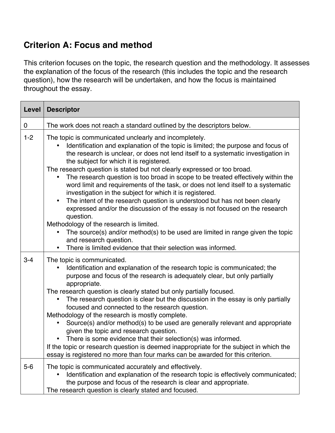### **Criterion A: Focus and method**

This criterion focuses on the topic, the research question and the methodology. It assesses the explanation of the focus of the research (this includes the topic and the research question), how the research will be undertaken, and how the focus is maintained throughout the essay.

| Level   | <b>Descriptor</b>                                                                                                                                                                                                                                                                                                                                                                                                                                                                                                                                                                                                                                                                                                                                                                                                                                                                                                                                                                                      |
|---------|--------------------------------------------------------------------------------------------------------------------------------------------------------------------------------------------------------------------------------------------------------------------------------------------------------------------------------------------------------------------------------------------------------------------------------------------------------------------------------------------------------------------------------------------------------------------------------------------------------------------------------------------------------------------------------------------------------------------------------------------------------------------------------------------------------------------------------------------------------------------------------------------------------------------------------------------------------------------------------------------------------|
| 0       | The work does not reach a standard outlined by the descriptors below.                                                                                                                                                                                                                                                                                                                                                                                                                                                                                                                                                                                                                                                                                                                                                                                                                                                                                                                                  |
| $1 - 2$ | The topic is communicated unclearly and incompletely.<br>Identification and explanation of the topic is limited; the purpose and focus of<br>the research is unclear, or does not lend itself to a systematic investigation in<br>the subject for which it is registered.<br>The research question is stated but not clearly expressed or too broad.<br>The research question is too broad in scope to be treated effectively within the<br>word limit and requirements of the task, or does not lend itself to a systematic<br>investigation in the subject for which it is registered.<br>The intent of the research question is understood but has not been clearly<br>$\bullet$<br>expressed and/or the discussion of the essay is not focused on the research<br>question.<br>Methodology of the research is limited.<br>The source(s) and/or method(s) to be used are limited in range given the topic<br>and research question.<br>There is limited evidence that their selection was informed. |
| $3 - 4$ | The topic is communicated.<br>Identification and explanation of the research topic is communicated; the<br>purpose and focus of the research is adequately clear, but only partially<br>appropriate.<br>The research question is clearly stated but only partially focused.<br>The research question is clear but the discussion in the essay is only partially<br>focused and connected to the research question.<br>Methodology of the research is mostly complete.<br>Source(s) and/or method(s) to be used are generally relevant and appropriate<br>given the topic and research question.<br>There is some evidence that their selection(s) was informed.<br>If the topic or research question is deemed inappropriate for the subject in which the<br>essay is registered no more than four marks can be awarded for this criterion.                                                                                                                                                            |
| $5-6$   | The topic is communicated accurately and effectively.<br>Identification and explanation of the research topic is effectively communicated;<br>the purpose and focus of the research is clear and appropriate.<br>The research question is clearly stated and focused.                                                                                                                                                                                                                                                                                                                                                                                                                                                                                                                                                                                                                                                                                                                                  |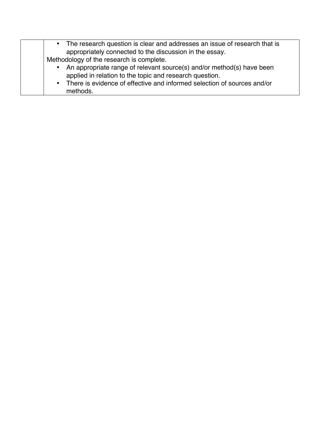| • The research question is clear and addresses an issue of research that is<br>appropriately connected to the discussion in the essay.                                                                                    |
|---------------------------------------------------------------------------------------------------------------------------------------------------------------------------------------------------------------------------|
| Methodology of the research is complete.                                                                                                                                                                                  |
| An appropriate range of relevant source(s) and/or method(s) have been<br>applied in relation to the topic and research question.<br>• There is evidence of effective and informed selection of sources and/or<br>methods. |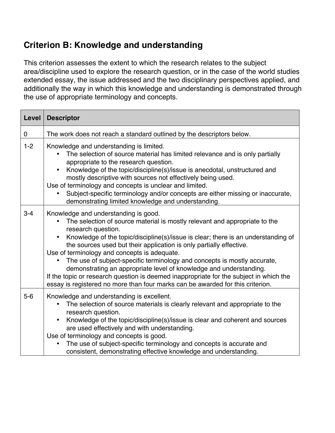### **Criterion B: Knowledge and understanding**

This criterion assesses the extent to which the research relates to the subject area/discipline used to explore the research question, or in the case of the world studies extended essay, the issue addressed and the two disciplinary perspectives applied, and additionally the way in which this knowledge and understanding is demonstrated through the use of appropriate terminology and concepts.

| Level       | <b>Descriptor</b>                                                                                                                                                                                                                                                                                                                                                                                                                                                                                                                                                                                                                                                                               |
|-------------|-------------------------------------------------------------------------------------------------------------------------------------------------------------------------------------------------------------------------------------------------------------------------------------------------------------------------------------------------------------------------------------------------------------------------------------------------------------------------------------------------------------------------------------------------------------------------------------------------------------------------------------------------------------------------------------------------|
| $\mathbf 0$ | The work does not reach a standard outlined by the descriptors below.                                                                                                                                                                                                                                                                                                                                                                                                                                                                                                                                                                                                                           |
| $1 - 2$     | Knowledge and understanding is limited.<br>The selection of source material has limited relevance and is only partially<br>appropriate to the research question.<br>Knowledge of the topic/discipline(s)/issue is anecdotal, unstructured and<br>٠<br>mostly descriptive with sources not effectively being used.<br>Use of terminology and concepts is unclear and limited.<br>Subject-specific terminology and/or concepts are either missing or inaccurate,<br>demonstrating limited knowledge and understanding.                                                                                                                                                                            |
| $3 - 4$     | Knowledge and understanding is good.<br>The selection of source material is mostly relevant and appropriate to the<br>research question.<br>Knowledge of the topic/discipline(s)/issue is clear; there is an understanding of<br>$\bullet$<br>the sources used but their application is only partially effective.<br>Use of terminology and concepts is adequate.<br>The use of subject-specific terminology and concepts is mostly accurate,<br>demonstrating an appropriate level of knowledge and understanding.<br>If the topic or research question is deemed inappropriate for the subject in which the<br>essay is registered no more than four marks can be awarded for this criterion. |
| $5-6$       | Knowledge and understanding is excellent.<br>The selection of source materials is clearly relevant and appropriate to the<br>research question.<br>Knowledge of the topic/discipline(s)/issue is clear and coherent and sources<br>$\bullet$<br>are used effectively and with understanding.<br>Use of terminology and concepts is good.<br>The use of subject-specific terminology and concepts is accurate and<br>consistent, demonstrating effective knowledge and understanding.                                                                                                                                                                                                            |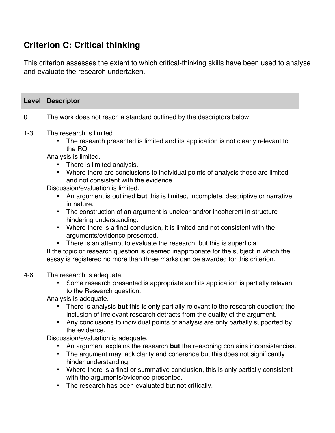### **Criterion C: Critical thinking**

This criterion assesses the extent to which critical-thinking skills have been used to analyse and evaluate the research undertaken.

| Level   | <b>Descriptor</b>                                                                                                                                                                                                                                                                                                                                                                                                                                                                                                                                                                                                                                                                                                                                                                                                                                                                                                                                                                                  |
|---------|----------------------------------------------------------------------------------------------------------------------------------------------------------------------------------------------------------------------------------------------------------------------------------------------------------------------------------------------------------------------------------------------------------------------------------------------------------------------------------------------------------------------------------------------------------------------------------------------------------------------------------------------------------------------------------------------------------------------------------------------------------------------------------------------------------------------------------------------------------------------------------------------------------------------------------------------------------------------------------------------------|
| 0       | The work does not reach a standard outlined by the descriptors below.                                                                                                                                                                                                                                                                                                                                                                                                                                                                                                                                                                                                                                                                                                                                                                                                                                                                                                                              |
| $1 - 3$ | The research is limited.<br>The research presented is limited and its application is not clearly relevant to<br>the RQ.<br>Analysis is limited.<br>There is limited analysis.<br>Where there are conclusions to individual points of analysis these are limited<br>$\bullet$<br>and not consistent with the evidence.<br>Discussion/evaluation is limited.<br>An argument is outlined but this is limited, incomplete, descriptive or narrative<br>$\bullet$<br>in nature.<br>The construction of an argument is unclear and/or incoherent in structure<br>$\bullet$<br>hindering understanding.<br>Where there is a final conclusion, it is limited and not consistent with the<br>$\bullet$<br>arguments/evidence presented.<br>There is an attempt to evaluate the research, but this is superficial.<br>$\bullet$<br>If the topic or research question is deemed inappropriate for the subject in which the<br>essay is registered no more than three marks can be awarded for this criterion. |
| $4 - 6$ | The research is adequate.<br>Some research presented is appropriate and its application is partially relevant<br>to the Research question.<br>Analysis is adequate.<br>There is analysis but this is only partially relevant to the research question; the<br>inclusion of irrelevant research detracts from the quality of the argument.<br>Any conclusions to individual points of analysis are only partially supported by<br>the evidence.<br>Discussion/evaluation is adequate.<br>An argument explains the research but the reasoning contains inconsistencies.<br>The argument may lack clarity and coherence but this does not significantly<br>hinder understanding.<br>Where there is a final or summative conclusion, this is only partially consistent<br>$\bullet$<br>with the arguments/evidence presented.<br>The research has been evaluated but not critically.                                                                                                                   |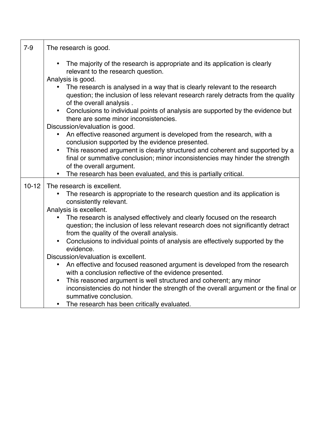| $7-9$     | The research is good.                                                                                                                                                                                                  |
|-----------|------------------------------------------------------------------------------------------------------------------------------------------------------------------------------------------------------------------------|
|           | The majority of the research is appropriate and its application is clearly<br>$\bullet$<br>relevant to the research question.<br>Analysis is good.                                                                     |
|           | The research is analysed in a way that is clearly relevant to the research<br>question; the inclusion of less relevant research rarely detracts from the quality<br>of the overall analysis.                           |
|           | Conclusions to individual points of analysis are supported by the evidence but<br>$\bullet$<br>there are some minor inconsistencies.                                                                                   |
|           | Discussion/evaluation is good.<br>An effective reasoned argument is developed from the research, with a<br>$\bullet$<br>conclusion supported by the evidence presented.                                                |
|           | This reasoned argument is clearly structured and coherent and supported by a<br>$\bullet$<br>final or summative conclusion; minor inconsistencies may hinder the strength<br>of the overall argument.                  |
|           | The research has been evaluated, and this is partially critical.                                                                                                                                                       |
| $10 - 12$ | The research is excellent.                                                                                                                                                                                             |
|           | The research is appropriate to the research question and its application is<br>consistently relevant.                                                                                                                  |
|           | Analysis is excellent.                                                                                                                                                                                                 |
|           | The research is analysed effectively and clearly focused on the research<br>$\bullet$<br>question; the inclusion of less relevant research does not significantly detract<br>from the quality of the overall analysis. |
|           | Conclusions to individual points of analysis are effectively supported by the<br>$\bullet$<br>evidence.                                                                                                                |
|           | Discussion/evaluation is excellent.                                                                                                                                                                                    |
|           | An effective and focused reasoned argument is developed from the research<br>with a conclusion reflective of the evidence presented.                                                                                   |
|           | This reasoned argument is well structured and coherent; any minor<br>$\bullet$                                                                                                                                         |
|           | inconsistencies do not hinder the strength of the overall argument or the final or<br>summative conclusion.                                                                                                            |
|           | The research has been critically evaluated.                                                                                                                                                                            |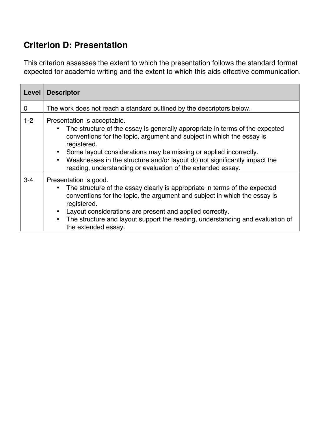## **Criterion D: Presentation**

This criterion assesses the extent to which the presentation follows the standard format expected for academic writing and the extent to which this aids effective communication.

| Level   | <b>Descriptor</b>                                                                                                                                                                                                                                                                                                                                                                                                                 |
|---------|-----------------------------------------------------------------------------------------------------------------------------------------------------------------------------------------------------------------------------------------------------------------------------------------------------------------------------------------------------------------------------------------------------------------------------------|
| 0       | The work does not reach a standard outlined by the descriptors below.                                                                                                                                                                                                                                                                                                                                                             |
| $1-2$   | Presentation is acceptable.<br>The structure of the essay is generally appropriate in terms of the expected<br>conventions for the topic, argument and subject in which the essay is<br>registered.<br>Some layout considerations may be missing or applied incorrectly.<br>Weaknesses in the structure and/or layout do not significantly impact the<br>$\bullet$<br>reading, understanding or evaluation of the extended essay. |
| $3 - 4$ | Presentation is good.<br>The structure of the essay clearly is appropriate in terms of the expected<br>conventions for the topic, the argument and subject in which the essay is<br>registered.<br>Layout considerations are present and applied correctly.<br>The structure and layout support the reading, understanding and evaluation of<br>the extended essay.                                                               |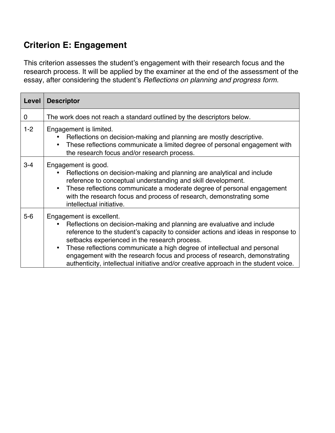# **Criterion E: Engagement**

This criterion assesses the student's engagement with their research focus and the research process. It will be applied by the examiner at the end of the assessment of the essay, after considering the student's *Reflections on planning and progress form.*

| Level          | <b>Descriptor</b>                                                                                                                                                                                                                                                                                                                                                                                                                                                                        |
|----------------|------------------------------------------------------------------------------------------------------------------------------------------------------------------------------------------------------------------------------------------------------------------------------------------------------------------------------------------------------------------------------------------------------------------------------------------------------------------------------------------|
| $\overline{0}$ | The work does not reach a standard outlined by the descriptors below.                                                                                                                                                                                                                                                                                                                                                                                                                    |
| $1 - 2$        | Engagement is limited.<br>Reflections on decision-making and planning are mostly descriptive.<br>These reflections communicate a limited degree of personal engagement with<br>the research focus and/or research process.                                                                                                                                                                                                                                                               |
| $3 - 4$        | Engagement is good.<br>Reflections on decision-making and planning are analytical and include<br>reference to conceptual understanding and skill development.<br>These reflections communicate a moderate degree of personal engagement<br>with the research focus and process of research, demonstrating some<br>intellectual initiative.                                                                                                                                               |
| $5-6$          | Engagement is excellent.<br>Reflections on decision-making and planning are evaluative and include<br>reference to the student's capacity to consider actions and ideas in response to<br>setbacks experienced in the research process.<br>These reflections communicate a high degree of intellectual and personal<br>engagement with the research focus and process of research, demonstrating<br>authenticity, intellectual initiative and/or creative approach in the student voice. |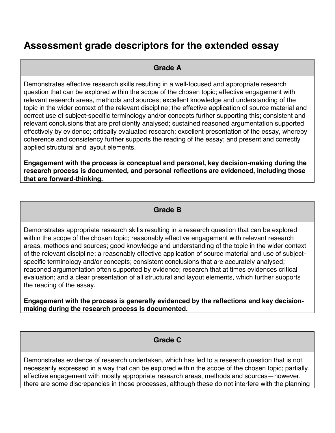# **Assessment grade descriptors for the extended essay**

#### **Grade A**

Demonstrates effective research skills resulting in a well-focused and appropriate research question that can be explored within the scope of the chosen topic; effective engagement with relevant research areas, methods and sources; excellent knowledge and understanding of the topic in the wider context of the relevant discipline; the effective application of source material and correct use of subject-specific terminology and/or concepts further supporting this; consistent and relevant conclusions that are proficiently analysed; sustained reasoned argumentation supported effectively by evidence; critically evaluated research; excellent presentation of the essay, whereby coherence and consistency further supports the reading of the essay; and present and correctly applied structural and layout elements.

**Engagement with the process is conceptual and personal, key decision-making during the research process is documented, and personal reflections are evidenced, including those that are forward-thinking.**

#### **Grade B**

Demonstrates appropriate research skills resulting in a research question that can be explored within the scope of the chosen topic; reasonably effective engagement with relevant research areas, methods and sources; good knowledge and understanding of the topic in the wider context of the relevant discipline; a reasonably effective application of source material and use of subjectspecific terminology and/or concepts; consistent conclusions that are accurately analysed; reasoned argumentation often supported by evidence; research that at times evidences critical evaluation; and a clear presentation of all structural and layout elements, which further supports the reading of the essay.

**Engagement with the process is generally evidenced by the reflections and key decisionmaking during the research process is documented.**

#### **Grade C**

Demonstrates evidence of research undertaken, which has led to a research question that is not necessarily expressed in a way that can be explored within the scope of the chosen topic; partially effective engagement with mostly appropriate research areas, methods and sources—however, there are some discrepancies in those processes, although these do not interfere with the planning